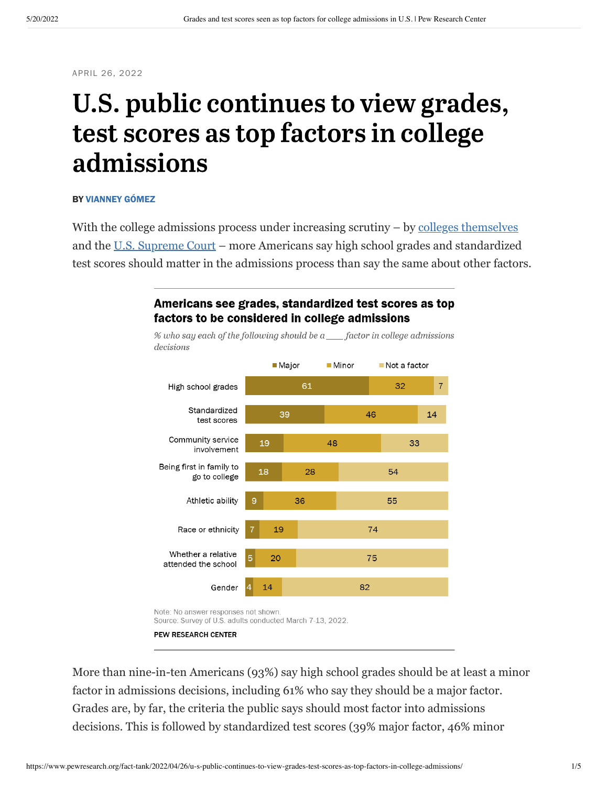APRIL 26, 2022

# U.S. public continues to view grades, test scores as top factors in college admissions

#### BY [VIANNEY GÓMEZ](https://www.pewresearch.org/staff/vianney-gomez)

With the college admissions process under increasing scrutiny – by [colleges themselves](https://www.nbcnews.com/news/us-news/college-admissions-test-sat-act-rcna23574) and the [U.S. Supreme Court](https://apnews.com/article/college-admissions-us-supreme-court-race-and-ethnicity-racial-injustice-harvard-university-95be5363a3245fbf185babe8423426a4) – more Americans say high school grades and standardized test scores should matter in the admissions process than say the same about other factors.



#### Americans see grades, standardized test scores as top factors to be considered in college admissions

PEW RESEARCH CENTER

More than nine-in-ten Americans (93%) say high school grades should be at least a minor factor in admissions decisions, including 61% who say they should be a major factor. Grades are, by far, the criteria the public says should most factor into admissions decisions. This is followed by standardized test scores (39% major factor, 46% minor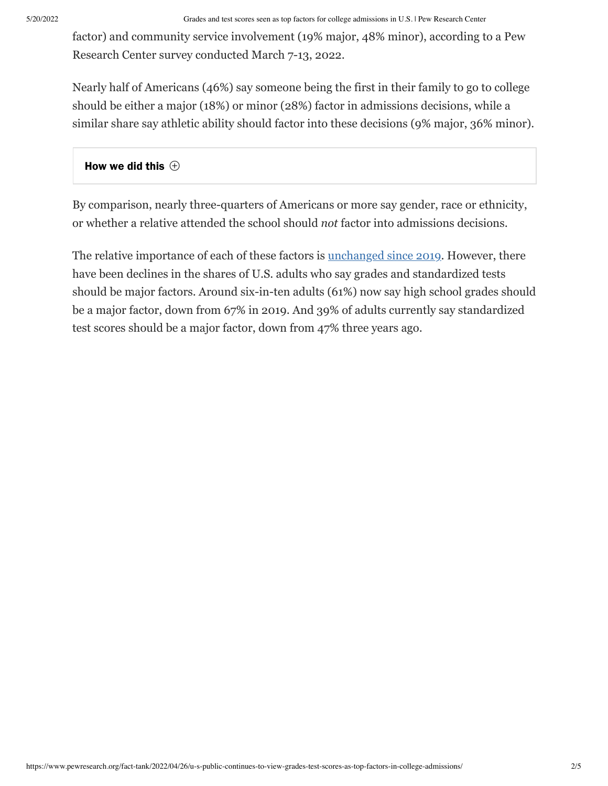factor) and community service involvement (19% major, 48% minor), according to a Pew Research Center survey conducted March 7-13, 2022.

Nearly half of Americans (46%) say someone being the first in their family to go to college should be either a major (18%) or minor (28%) factor in admissions decisions, while a similar share say athletic ability should factor into these decisions (9% major, 36% minor).

### How we did this  $\,\oplus\,$

By comparison, nearly three-quarters of Americans or more say gender, race or ethnicity, or whether a relative attended the school should *not* factor into admissions decisions.

The relative importance of each of these factors is [unchanged since 2019](https://www.pewresearch.org/fact-tank/2019/02/25/most-americans-say-colleges-should-not-consider-race-or-ethnicity-in-admissions/). However, there have been declines in the shares of U.S. adults who say grades and standardized tests should be major factors. Around six-in-ten adults (61%) now say high school grades should be a major factor, down from 67% in 2019. And 39% of adults currently say standardized test scores should be a major factor, down from 47% three years ago.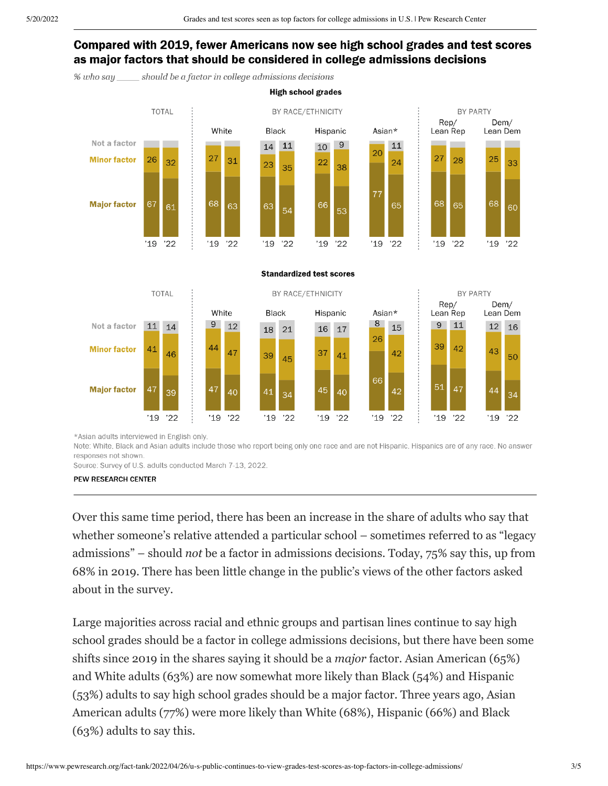# Compared with 2019, fewer Americans now see high school grades and test scores as major factors that should be considered in college admissions decisions

**High school grades** 

should be a factor in college admissions decisions  $%$  who say



\*Asian adults interviewed in English only.

Note: White, Black and Asian adults include those who report being only one race and are not Hispanic. Hispanics are of any race. No answer responses not shown.

Source: Survey of U.S. adults conducted March 7-13, 2022.

PEW RESEARCH CENTER

Over this same time period, there has been an increase in the share of adults who say that whether someone's relative attended a particular school – sometimes referred to as "legacy admissions" – should *not* be a factor in admissions decisions. Today, 75% say this, up from 68% in 2019. There has been little change in the public's views of the other factors asked about in the survey.

Large majorities across racial and ethnic groups and partisan lines continue to say high school grades should be a factor in college admissions decisions, but there have been some shifts since 2019 in the shares saying it should be a *major* factor. Asian American (65%) and White adults (63%) are now somewhat more likely than Black (54%) and Hispanic (53%) adults to say high school grades should be a major factor. Three years ago, Asian American adults (77%) were more likely than White (68%), Hispanic (66%) and Black (63%) adults to say this.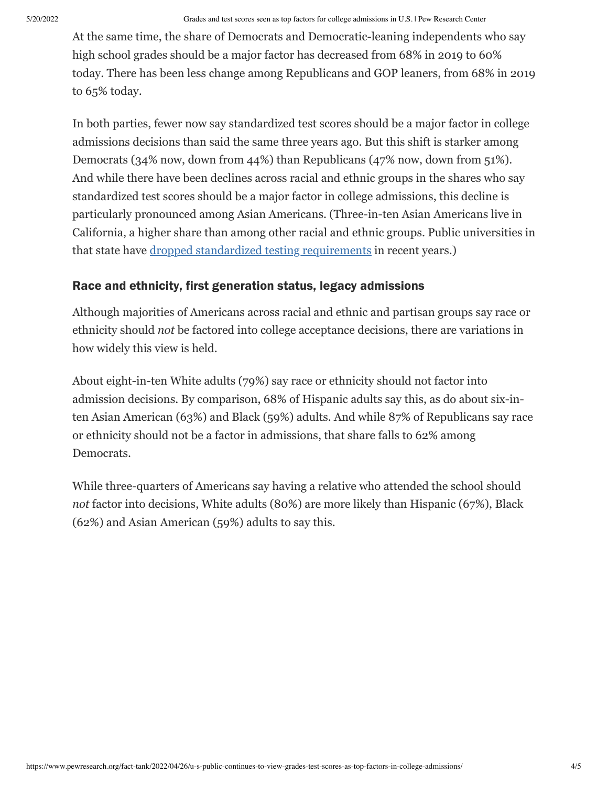At the same time, the share of Democrats and Democratic-leaning independents who say high school grades should be a major factor has decreased from 68% in 2019 to 60% today. There has been less change among Republicans and GOP leaners, from 68% in 2019 to 65% today.

In both parties, fewer now say standardized test scores should be a major factor in college admissions decisions than said the same three years ago. But this shift is starker among Democrats (34% now, down from 44%) than Republicans (47% now, down from 51%). And while there have been declines across racial and ethnic groups in the shares who say standardized test scores should be a major factor in college admissions, this decline is particularly pronounced among Asian Americans. (Three-in-ten Asian Americans live in California, a higher share than among other racial and ethnic groups. Public universities in that state have [dropped standardized testing requirements](https://apnews.com/article/college-admissions-education-california-university-of-california-california-state-university-6505f492ae5f00dbe05e2f9993e3517e) in recent years.)

# Race and ethnicity, first generation status, legacy admissions

Although majorities of Americans across racial and ethnic and partisan groups say race or ethnicity should *not* be factored into college acceptance decisions, there are variations in how widely this view is held.

About eight-in-ten White adults (79%) say race or ethnicity should not factor into admission decisions. By comparison, 68% of Hispanic adults say this, as do about six-inten Asian American (63%) and Black (59%) adults. And while 87% of Republicans say race or ethnicity should not be a factor in admissions, that share falls to 62% among Democrats.

While three-quarters of Americans say having a relative who attended the school should *not* factor into decisions, White adults (80%) are more likely than Hispanic (67%), Black (62%) and Asian American (59%) adults to say this.